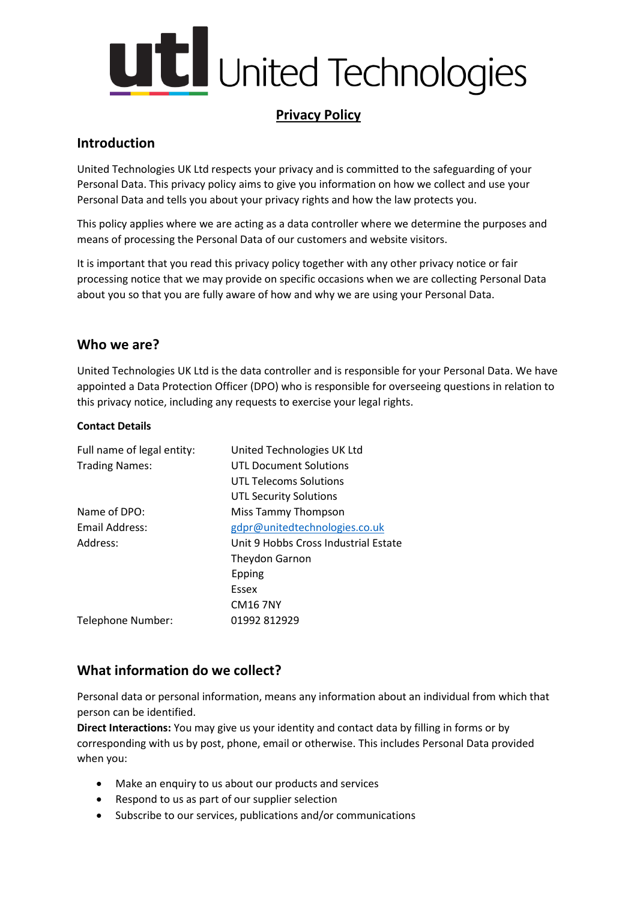

# **Privacy Policy**

# **Introduction**

United Technologies UK Ltd respects your privacy and is committed to the safeguarding of your Personal Data. This privacy policy aims to give you information on how we collect and use your Personal Data and tells you about your privacy rights and how the law protects you.

This policy applies where we are acting as a data controller where we determine the purposes and means of processing the Personal Data of our customers and website visitors.

It is important that you read this privacy policy together with any other privacy notice or fair processing notice that we may provide on specific occasions when we are collecting Personal Data about you so that you are fully aware of how and why we are using your Personal Data.

## **Who we are?**

United Technologies UK Ltd is the data controller and is responsible for your Personal Data. We have appointed a Data Protection Officer (DPO) who is responsible for overseeing questions in relation to this privacy notice, including any requests to exercise your legal rights.

## **Contact Details**

| Full name of legal entity: | United Technologies UK Ltd           |  |
|----------------------------|--------------------------------------|--|
| <b>Trading Names:</b>      | <b>UTL Document Solutions</b>        |  |
|                            | UTL Telecoms Solutions               |  |
|                            | <b>UTL Security Solutions</b>        |  |
| Name of DPO:               | Miss Tammy Thompson                  |  |
| Email Address:             | gdpr@unitedtechnologies.co.uk        |  |
| Address:                   | Unit 9 Hobbs Cross Industrial Estate |  |
|                            | <b>Theydon Garnon</b>                |  |
|                            | Epping                               |  |
|                            | Essex                                |  |
|                            | <b>CM16 7NY</b>                      |  |
| Telephone Number:          | 01992 812929                         |  |

# **What information do we collect?**

Personal data or personal information, means any information about an individual from which that person can be identified.

**Direct Interactions:** You may give us your identity and contact data by filling in forms or by corresponding with us by post, phone, email or otherwise. This includes Personal Data provided when you:

- Make an enquiry to us about our products and services
- Respond to us as part of our supplier selection
- Subscribe to our services, publications and/or communications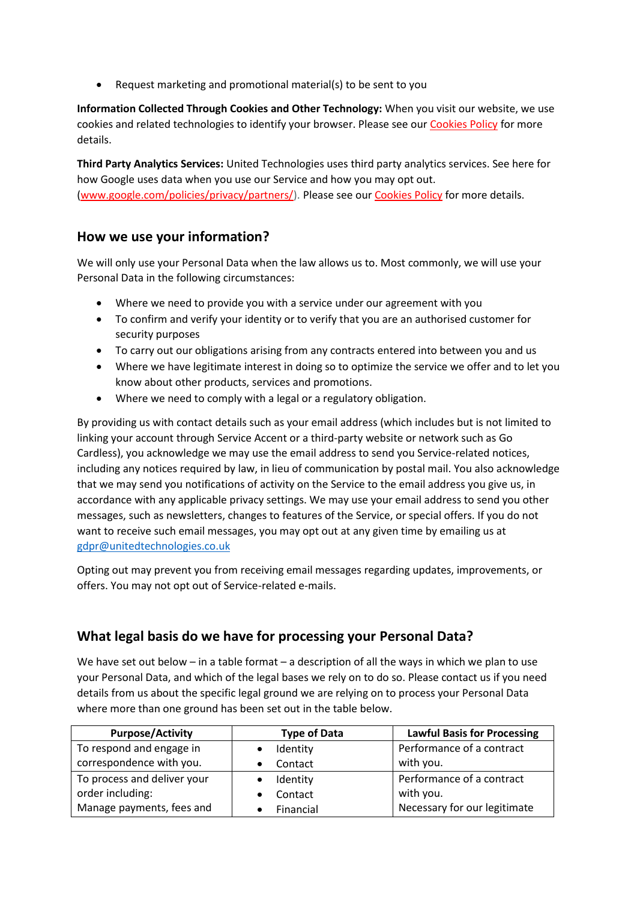Request marketing and promotional material(s) to be sent to you

**Information Collected Through Cookies and Other Technology:** When you visit our website, we use cookies and related technologies to identify your browser. Please see our Cookies Policy for more details.

**Third Party Analytics Services:** United Technologies uses third party analytics services. See here for how Google uses data when you use our Service and how you may opt out. [\(www.google.com/policies/privacy/partners/\)](https://creativemarket.com/www.google.com/policies/privacy/partners/). Please see our Cookies Policy for more details.

# **How we use your information?**

We will only use your Personal Data when the law allows us to. Most commonly, we will use your Personal Data in the following circumstances:

- Where we need to provide you with a service under our agreement with you
- To confirm and verify your identity or to verify that you are an authorised customer for security purposes
- To carry out our obligations arising from any contracts entered into between you and us
- Where we have legitimate interest in doing so to optimize the service we offer and to let you know about other products, services and promotions.
- Where we need to comply with a legal or a regulatory obligation.

By providing us with contact details such as your email address (which includes but is not limited to linking your account through Service Accent or a third-party website or network such as Go Cardless), you acknowledge we may use the email address to send you Service-related notices, including any notices required by law, in lieu of communication by postal mail. You also acknowledge that we may send you notifications of activity on the Service to the email address you give us, in accordance with any applicable privacy settings. We may use your email address to send you other messages, such as newsletters, changes to features of the Service, or special offers. If you do not want to receive such email messages, you may opt out at any given time by emailing us at [gdpr@unitedtechnologies.co.uk](mailto:gdpr@unitedtechnologies.co.uk)

Opting out may prevent you from receiving email messages regarding updates, improvements, or offers. You may not opt out of Service-related e-mails.

# **What legal basis do we have for processing your Personal Data?**

We have set out below – in a table format – a description of all the ways in which we plan to use your Personal Data, and which of the legal bases we rely on to do so. Please contact us if you need details from us about the specific legal ground we are relying on to process your Personal Data where more than one ground has been set out in the table below.

| <b>Purpose/Activity</b>     | <b>Type of Data</b> | <b>Lawful Basis for Processing</b> |
|-----------------------------|---------------------|------------------------------------|
| To respond and engage in    | Identity            | Performance of a contract          |
| correspondence with you.    | Contact             | with you.                          |
| To process and deliver your | Identity            | Performance of a contract          |
| order including:            | Contact             | with you.                          |
| Manage payments, fees and   | Financial           | Necessary for our legitimate       |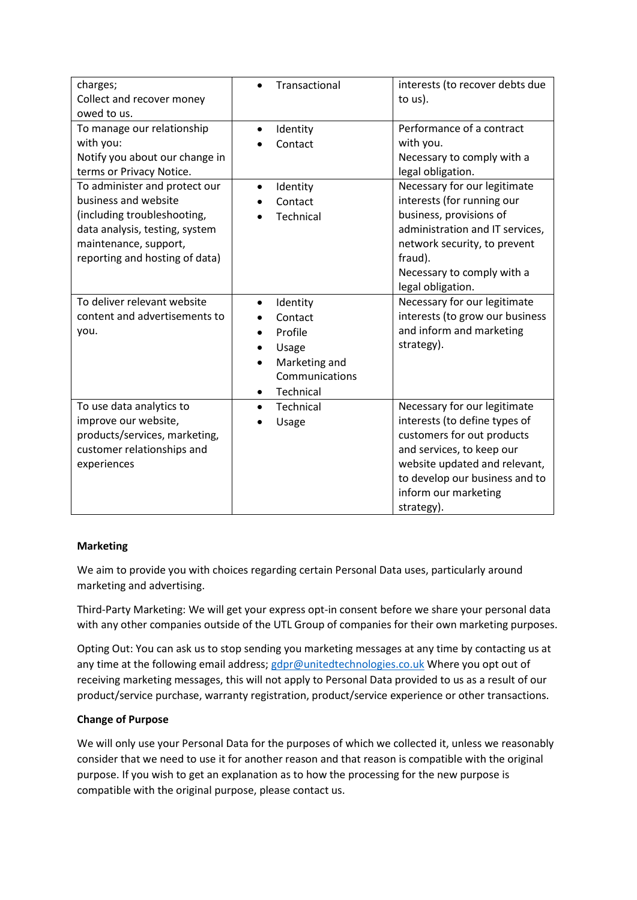| charges;<br>Collect and recover money<br>owed to us.                                                                                                                              | Transactional                                                                                                     | interests (to recover debts due<br>to us).                                                                                                                                                                                        |
|-----------------------------------------------------------------------------------------------------------------------------------------------------------------------------------|-------------------------------------------------------------------------------------------------------------------|-----------------------------------------------------------------------------------------------------------------------------------------------------------------------------------------------------------------------------------|
| To manage our relationship<br>with you:<br>Notify you about our change in<br>terms or Privacy Notice.                                                                             | Identity<br>$\bullet$<br>Contact                                                                                  | Performance of a contract<br>with you.<br>Necessary to comply with a<br>legal obligation.                                                                                                                                         |
| To administer and protect our<br>business and website<br>(including troubleshooting,<br>data analysis, testing, system<br>maintenance, support,<br>reporting and hosting of data) | Identity<br>Contact<br>Technical                                                                                  | Necessary for our legitimate<br>interests (for running our<br>business, provisions of<br>administration and IT services,<br>network security, to prevent<br>fraud).<br>Necessary to comply with a<br>legal obligation.            |
| To deliver relevant website<br>content and advertisements to<br>you.                                                                                                              | Identity<br>$\bullet$<br>Contact<br>Profile<br>Usage<br>$\bullet$<br>Marketing and<br>Communications<br>Technical | Necessary for our legitimate<br>interests (to grow our business<br>and inform and marketing<br>strategy).                                                                                                                         |
| To use data analytics to<br>improve our website,<br>products/services, marketing,<br>customer relationships and<br>experiences                                                    | Technical<br>$\bullet$<br>Usage                                                                                   | Necessary for our legitimate<br>interests (to define types of<br>customers for out products<br>and services, to keep our<br>website updated and relevant,<br>to develop our business and to<br>inform our marketing<br>strategy). |

## **Marketing**

We aim to provide you with choices regarding certain Personal Data uses, particularly around marketing and advertising.

Third-Party Marketing: We will get your express opt-in consent before we share your personal data with any other companies outside of the UTL Group of companies for their own marketing purposes.

Opting Out: You can ask us to stop sending you marketing messages at any time by contacting us at any time at the following email address; [gdpr@unitedtechnologies.co.uk](mailto:gdpr@unitedtechnologies.co.uk) Where you opt out of receiving marketing messages, this will not apply to Personal Data provided to us as a result of our product/service purchase, warranty registration, product/service experience or other transactions.

## **Change of Purpose**

We will only use your Personal Data for the purposes of which we collected it, unless we reasonably consider that we need to use it for another reason and that reason is compatible with the original purpose. If you wish to get an explanation as to how the processing for the new purpose is compatible with the original purpose, please contact us.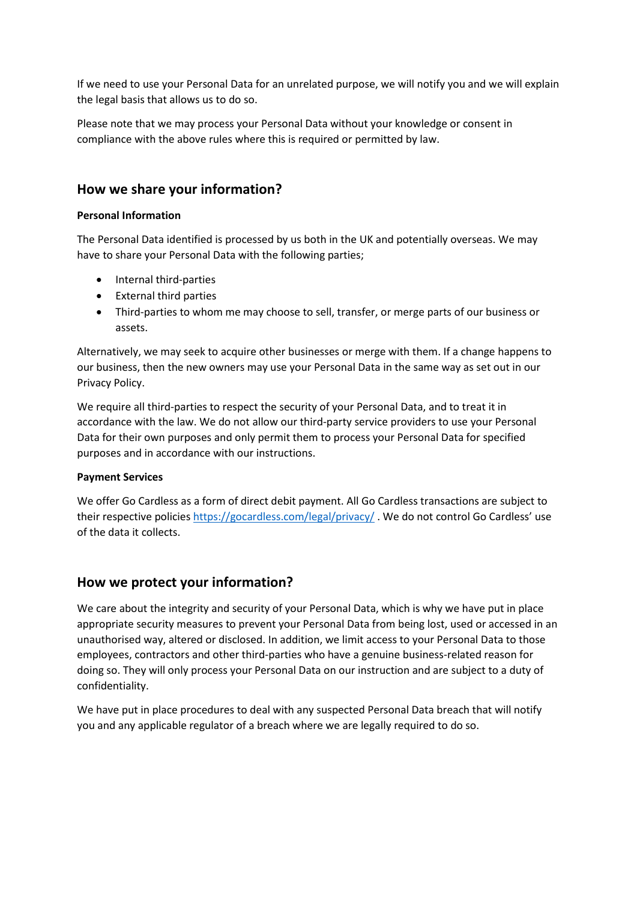If we need to use your Personal Data for an unrelated purpose, we will notify you and we will explain the legal basis that allows us to do so.

Please note that we may process your Personal Data without your knowledge or consent in compliance with the above rules where this is required or permitted by law.

## **How we share your information?**

## **Personal Information**

The Personal Data identified is processed by us both in the UK and potentially overseas. We may have to share your Personal Data with the following parties;

- Internal third-parties
- External third parties
- Third-parties to whom me may choose to sell, transfer, or merge parts of our business or assets.

Alternatively, we may seek to acquire other businesses or merge with them. If a change happens to our business, then the new owners may use your Personal Data in the same way as set out in our Privacy Policy.

We require all third-parties to respect the security of your Personal Data, and to treat it in accordance with the law. We do not allow our third-party service providers to use your Personal Data for their own purposes and only permit them to process your Personal Data for specified purposes and in accordance with our instructions.

### **Payment Services**

We offer Go Cardless as a form of direct debit payment. All Go Cardless transactions are subject to their respective policie[s https://gocardless.com/legal/privacy/](https://gocardless.com/legal/privacy/) . We do not control Go Cardless' use of the data it collects.

## **How we protect your information?**

We care about the integrity and security of your Personal Data, which is why we have put in place appropriate security measures to prevent your Personal Data from being lost, used or accessed in an unauthorised way, altered or disclosed. In addition, we limit access to your Personal Data to those employees, contractors and other third-parties who have a genuine business-related reason for doing so. They will only process your Personal Data on our instruction and are subject to a duty of confidentiality.

We have put in place procedures to deal with any suspected Personal Data breach that will notify you and any applicable regulator of a breach where we are legally required to do so.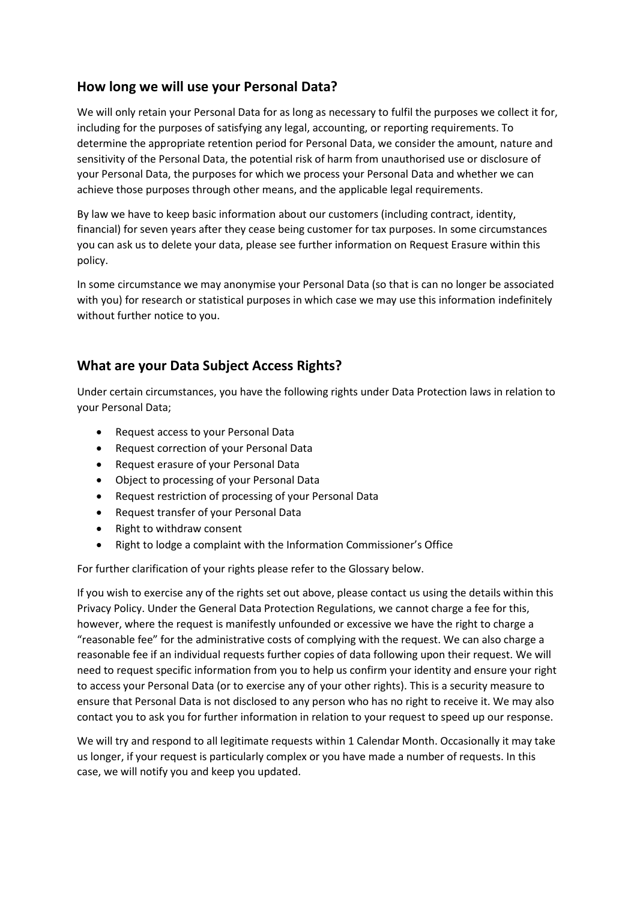# **How long we will use your Personal Data?**

We will only retain your Personal Data for as long as necessary to fulfil the purposes we collect it for, including for the purposes of satisfying any legal, accounting, or reporting requirements. To determine the appropriate retention period for Personal Data, we consider the amount, nature and sensitivity of the Personal Data, the potential risk of harm from unauthorised use or disclosure of your Personal Data, the purposes for which we process your Personal Data and whether we can achieve those purposes through other means, and the applicable legal requirements.

By law we have to keep basic information about our customers (including contract, identity, financial) for seven years after they cease being customer for tax purposes. In some circumstances you can ask us to delete your data, please see further information on Request Erasure within this policy.

In some circumstance we may anonymise your Personal Data (so that is can no longer be associated with you) for research or statistical purposes in which case we may use this information indefinitely without further notice to you.

# **What are your Data Subject Access Rights?**

Under certain circumstances, you have the following rights under Data Protection laws in relation to your Personal Data;

- Request access to your Personal Data
- Request correction of your Personal Data
- Request erasure of your Personal Data
- Object to processing of your Personal Data
- Request restriction of processing of your Personal Data
- Request transfer of your Personal Data
- Right to withdraw consent
- Right to lodge a complaint with the Information Commissioner's Office

For further clarification of your rights please refer to the Glossary below.

If you wish to exercise any of the rights set out above, please contact us using the details within this Privacy Policy. Under the General Data Protection Regulations, we cannot charge a fee for this, however, where the request is manifestly unfounded or excessive we have the right to charge a "reasonable fee" for the administrative costs of complying with the request. We can also charge a reasonable fee if an individual requests further copies of data following upon their request. We will need to request specific information from you to help us confirm your identity and ensure your right to access your Personal Data (or to exercise any of your other rights). This is a security measure to ensure that Personal Data is not disclosed to any person who has no right to receive it. We may also contact you to ask you for further information in relation to your request to speed up our response.

We will try and respond to all legitimate requests within 1 Calendar Month. Occasionally it may take us longer, if your request is particularly complex or you have made a number of requests. In this case, we will notify you and keep you updated.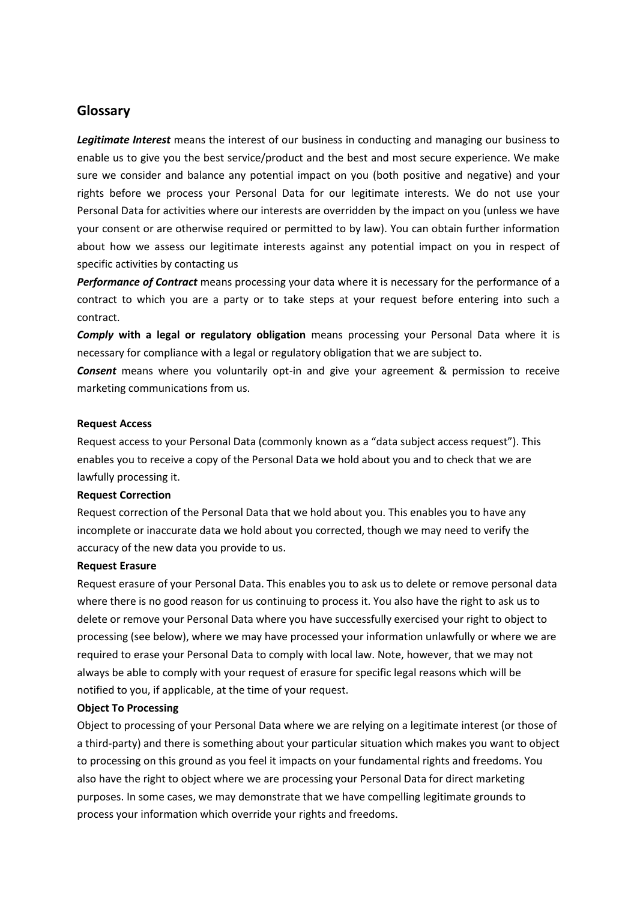## **Glossary**

*Legitimate Interest* means the interest of our business in conducting and managing our business to enable us to give you the best service/product and the best and most secure experience. We make sure we consider and balance any potential impact on you (both positive and negative) and your rights before we process your Personal Data for our legitimate interests. We do not use your Personal Data for activities where our interests are overridden by the impact on you (unless we have your consent or are otherwise required or permitted to by law). You can obtain further information about how we assess our legitimate interests against any potential impact on you in respect of specific activities by contacting us

*Performance of Contract* means processing your data where it is necessary for the performance of a contract to which you are a party or to take steps at your request before entering into such a contract.

*Comply* **with a legal or regulatory obligation** means processing your Personal Data where it is necessary for compliance with a legal or regulatory obligation that we are subject to.

*Consent* means where you voluntarily opt-in and give your agreement & permission to receive marketing communications from us.

#### **Request Access**

Request access to your Personal Data (commonly known as a "data subject access request"). This enables you to receive a copy of the Personal Data we hold about you and to check that we are lawfully processing it.

#### **Request Correction**

Request correction of the Personal Data that we hold about you. This enables you to have any incomplete or inaccurate data we hold about you corrected, though we may need to verify the accuracy of the new data you provide to us.

#### **Request Erasure**

Request erasure of your Personal Data. This enables you to ask us to delete or remove personal data where there is no good reason for us continuing to process it. You also have the right to ask us to delete or remove your Personal Data where you have successfully exercised your right to object to processing (see below), where we may have processed your information unlawfully or where we are required to erase your Personal Data to comply with local law. Note, however, that we may not always be able to comply with your request of erasure for specific legal reasons which will be notified to you, if applicable, at the time of your request.

### **Object To Processing**

Object to processing of your Personal Data where we are relying on a legitimate interest (or those of a third-party) and there is something about your particular situation which makes you want to object to processing on this ground as you feel it impacts on your fundamental rights and freedoms. You also have the right to object where we are processing your Personal Data for direct marketing purposes. In some cases, we may demonstrate that we have compelling legitimate grounds to process your information which override your rights and freedoms.